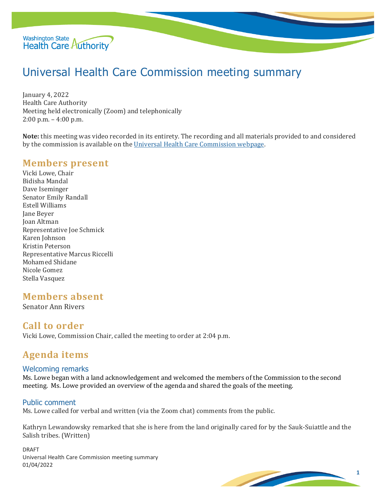

# Universal Health Care Commission meeting summary

January 4, 2022 Health Care Authority Meeting held electronically (Zoom) and telephonically 2:00 p.m. – 4:00 p.m.

**Note:** this meeting was video recorded in its entirety. The recording and all materials provided to and considered by the commission is available on the [Universal Health Care Commission webpage.](file://HCAFLCSP002/SECURED/DPA%20Policy/Cost%20Board/Minutes/Universal%20Health%20Care%20Commission%20webpage)

### **Members present**

Vicki Lowe, Chair Bidisha Mandal Dave Iseminger Senator Emily Randall Estell Williams Jane Beyer Joan Altman Representative Joe Schmick Karen Johnson Kristin Peterson Representative Marcus Riccelli Mohamed Shidane Nicole Gomez Stella Vasquez

# **Members absent**

Senator Ann Rivers

## **Call to order**

Vicki Lowe, Commission Chair, called the meeting to order at 2:04 p.m.

# **Agenda items**

#### Welcoming remarks

Ms. Lowe began with a land acknowledgement and welcomed the members of the Commission to the second meeting. Ms. Lowe provided an overview of the agenda and shared the goals of the meeting.

#### Public comment

Ms. Lowe called for verbal and written (via the Zoom chat) comments from the public.

Kathryn Lewandowsky remarked that she is here from the land originally cared for by the Sauk-Suiattle and the Salish tribes. (Written)

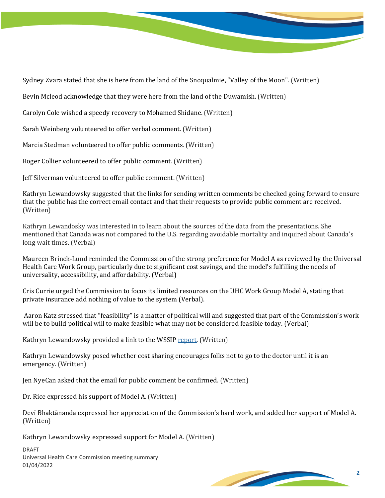

Sydney Zvara stated that she is here from the land of the Snoqualmie, "Valley of the Moon". (Written)

Bevin Mcleod acknowledge that they were here from the land of the Duwamish. (Written)

Carolyn Cole wished a speedy recovery to Mohamed Shidane. (Written)

Sarah Weinberg volunteered to offer verbal comment. (Written)

Marcia Stedman volunteered to offer public comments. (Written)

Roger Collier volunteered to offer public comment. (Written)

Jeff Silverman volunteered to offer public comment. (Written)

Kathryn Lewandowsky suggested that the links for sending written comments be checked going forward to ensure that the public has the correct email contact and that their requests to provide public comment are received. (Written)

Kathryn Lewandosky was interested in to learn about the sources of the data from the presentations. She mentioned that Canada was not compared to the U.S. regarding avoidable mortality and inquired about Canada's long wait times. (Verbal)

Maureen Brinck-Lund reminded the Commission of the strong preference for Model A as reviewed by the Universal Health Care Work Group, particularly due to significant cost savings, and the model's fulfilling the needs of universality, accessibility, and affordability. (Verbal)

Cris Currie urged the Commission to focus its limited resources on the UHC Work Group Model A, stating that private insurance add nothing of value to the system (Verbal).

Aaron Katz stressed that "feasibility" is a matter of political will and suggested that part of the Commission's work will be to build political will to make feasible what may not be considered feasible today. (Verbal)

Kathryn Lewandowsky provided a link to the WSSIP [report.](http://www.wsipp.wa.gov/ReportFile/1705/Wsipp_Single-Payer-and-Universal-Coverage-Health-Systems-Final-Report_Report.pdf) (Written)

Kathryn Lewandowsky posed whether cost sharing encourages folks not to go to the doctor until it is an emergency. (Written)

Jen NyeCan asked that the email for public comment be confirmed. (Written)

Dr. Rice expressed his support of Model A. (Written)

Devī Bhaktānanda expressed her appreciation of the Commission's hard work, and added her support of Model A. (Written)

Kathryn Lewandowsky expressed support for Model A. (Written)

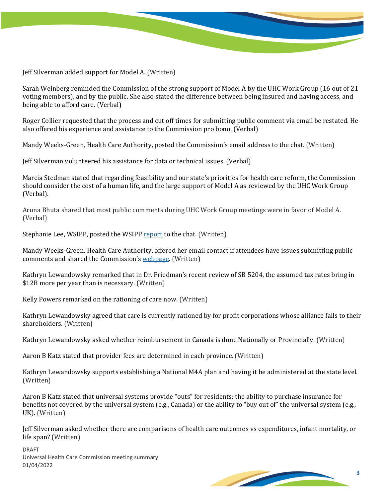Jeff Silverman added support for Model A. (Written)

Sarah Weinberg reminded the Commission of the strong support of Model A by the UHC Work Group (16 out of 21 voting members), and by the public. She also stated the difference between being insured and having access, and being able to afford care. (Verbal)

Roger Collier requested that the process and cut off times for submitting public comment via email be restated. He also offered his experience and assistance to the Commission pro bono. (Verbal)

Mandy Weeks-Green, Health Care Authority, posted the Commission's email address to the chat. (Written)

Jeff Silverman volunteered his assistance for data or technical issues. (Verbal)

Marcia Stedman stated that regarding feasibility and our state's priorities for health care reform, the Commission should consider the cost of a human life, and the large support of Model A as reviewed by the UHC Work Group (Verbal).

Aruna Bhuta shared that most public comments during UHC Work Group meetings were in favor of Model A. (Verbal)

Stephanie Lee, WSIPP, posted the WSIP[P report](http://www.wsipp.wa.gov/ReportFile/1705/Wsipp_Single-Payer-and-Universal-Coverage-Health-Systems-Final-Report_Report.pdf) to the chat. (Written)

Mandy Weeks-Green, Health Care Authority, offered her email contact if attendees have issues submitting public comments and shared the Commission's [webpage.](https://www.hca.wa.gov/about-hca/universal-health-care-commission) (Written)

Kathryn Lewandowsky remarked that in Dr. Friedman's recent review of SB 5204, the assumed tax rates bring in \$12B more per year than is necessary. (Written)

Kelly Powers remarked on the rationing of care now. (Written)

Kathryn Lewandowsky agreed that care is currently rationed by for profit corporations whose alliance falls to their shareholders. (Written)

Kathryn Lewandowsky asked whether reimbursement in Canada is done Nationally or Provincially. (Written)

Aaron B Katz stated that provider fees are determined in each province. (Written)

Kathryn Lewandowsky supports establishing a National M4A plan and having it be administered at the state level. (Written)

Aaron B Katz stated that universal systems provide "outs" for residents: the ability to purchase insurance for benefits not covered by the universal system (e.g., Canada) or the ability to "buy out of" the universal system (e.g., UK). (Written)

Jeff Silverman asked whether there are comparisons of health care outcomes vs expenditures, infant mortality, or life span? (Written)

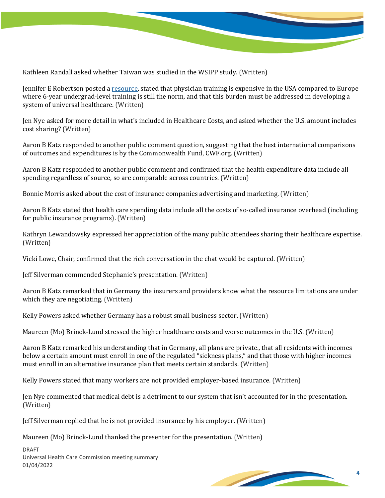

Kathleen Randall asked whether Taiwan was studied in the WSIPP study. (Written)

Jennifer E Robertson posted a [resource,](https://sites.tufts.edu/cmph357/2017/04/09/the-price-we-pay-how-the-cost-of-medical-school-contributes-to-us-healthcare-disparities-and-spending/) stated that physician training is expensive in the USA compared to Europe where 6-year undergrad-level training is still the norm, and that this burden must be addressed in developing a system of universal healthcare. (Written)

Jen Nye asked for more detail in what's included in Healthcare Costs, and asked whether the U.S. amount includes cost sharing? (Written)

Aaron B Katz responded to another public comment question, suggesting that the best international comparisons of outcomes and expenditures is by the Commonwealth Fund, CWF.org. (Written)

Aaron B Katz responded to another public comment and confirmed that the health expenditure data include all spending regardless of source, so are comparable across countries. (Written)

Bonnie Morris asked about the cost of insurance companies advertising and marketing. (Written)

Aaron B Katz stated that health care spending data include all the costs of so-called insurance overhead (including for public insurance programs). (Written)

Kathryn Lewandowsky expressed her appreciation of the many public attendees sharing their healthcare expertise. (Written)

Vicki Lowe, Chair, confirmed that the rich conversation in the chat would be captured. (Written)

Jeff Silverman commended Stephanie's presentation. (Written)

Aaron B Katz remarked that in Germany the insurers and providers know what the resource limitations are under which they are negotiating. (Written)

Kelly Powers asked whether Germany has a robust small business sector. (Written)

Maureen (Mo) Brinck-Lund stressed the higher healthcare costs and worse outcomes in the U.S. (Written)

Aaron B Katz remarked his understanding that in Germany, all plans are private., that all residents with incomes below a certain amount must enroll in one of the regulated "sickness plans," and that those with higher incomes must enroll in an alternative insurance plan that meets certain standards. (Written)

Kelly Powers stated that many workers are not provided employer-based insurance. (Written)

Jen Nye commented that medical debt is a detriment to our system that isn't accounted for in the presentation. (Written)

Jeff Silverman replied that he is not provided insurance by his employer. (Written)

Maureen (Mo) Brinck-Lund thanked the presenter for the presentation. (Written)

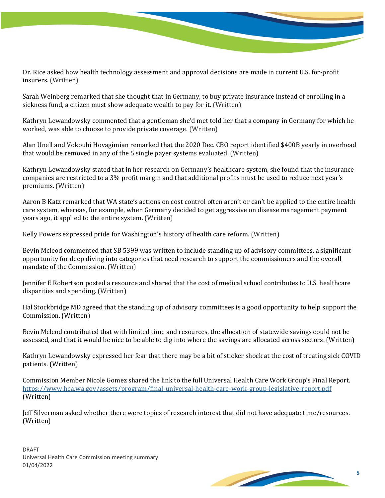Dr. Rice asked how health technology assessment and approval decisions are made in current U.S. for-profit insurers. (Written)

Sarah Weinberg remarked that she thought that in Germany, to buy private insurance instead of enrolling in a sickness fund, a citizen must show adequate wealth to pay for it. (Written)

Kathryn Lewandowsky commented that a gentleman she'd met told her that a company in Germany for which he worked, was able to choose to provide private coverage. (Written)

Alan Unell and Vokouhi Hovagimian remarked that the 2020 Dec. CBO report identified \$400B yearly in overhead that would be removed in any of the 5 single payer systems evaluated. (Written)

Kathryn Lewandowsky stated that in her research on Germany's healthcare system, she found that the insurance companies are restricted to a 3% profit margin and that additional profits must be used to reduce next year's premiums. (Written)

Aaron B Katz remarked that WA state's actions on cost control often aren't or can't be applied to the entire health care system, whereas, for example, when Germany decided to get aggressive on disease management payment years ago, it applied to the entire system. (Written)

Kelly Powers expressed pride for Washington's history of health care reform. (Written)

Bevin Mcleod commented that SB 5399 was written to include standing up of advisory committees, a significant opportunity for deep diving into categories that need research to support the commissioners and the overall mandate of the Commission. (Written)

Jennifer E Robertson posted a resource and shared that the cost of medical school contributes to U.S. healthcare disparities and spending. (Written)

Hal Stockbridge MD agreed that the standing up of advisory committees is a good opportunity to help support the Commission. (Written)

Bevin Mcleod contributed that with limited time and resources, the allocation of statewide savings could not be assessed, and that it would be nice to be able to dig into where the savings are allocated across sectors. (Written)

Kathryn Lewandowsky expressed her fear that there may be a bit of sticker shock at the cost of treating sick COVID patients. (Written)

Commission Member Nicole Gomez shared the link to the full Universal Health Care Work Group's Final Report. <https://www.hca.wa.gov/assets/program/final-universal-health-care-work-group-legislative-report.pdf> (Written)

Jeff Silverman asked whether there were topics of research interest that did not have adequate time/resources. (Written)

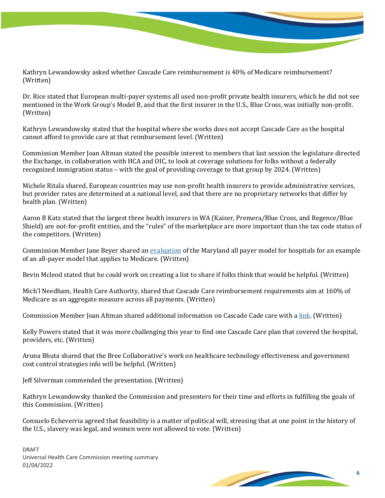Kathryn Lewandowsky asked whether Cascade Care reimbursement is 40% of Medicare reimbursement? (Written)

Dr. Rice stated that European multi-payer systems all used non-profit private health insurers, which he did not see mentioned in the Work Group's Model B, and that the first insurer in the U.S., Blue Cross, was initially non-profit. (Written)

Kathryn Lewandowsky stated that the hospital where she works does not accept Cascade Care as the hospital cannot afford to provide care at that reimbursement level. (Written)

Commission Member Joan Altman stated the possible interest to members that last session the legislature directed the Exchange, in collaboration with HCA and OIC, to look at coverage solutions for folks without a federally recognized immigration status – with the goal of providing coverage to that group by 2024. (Written)

Michele Ritala shared, European countries may use non-profit health insurers to provide administrative services, but provider rates are determined at a national level, and that there are no proprietary networks that differ by health plan. (Written)

Aaron B Katz stated that the largest three health insurers in WA (Kaiser, Premera/Blue Cross, and Regence/Blue Shield) are not-for-profit entities, and the "rules" of the marketplace are more important than the tax code status of the competitors. (Written)

Commission Member Jane Beyer shared an [evaluation](https://downloads.cms.gov/files/md-allpayer-finalevalrpt.pdf) of the Maryland all payer model for hospitals for an example of an all-payer model that applies to Medicare. (Written)

Bevin Mcleod stated that he could work on creating a list to share if folks think that would be helpful. (Written)

Mich'l Needham, Health Care Authority, shared that Cascade Care reimbursement requirements aim at 160% of Medicare as an aggregate measure across all payments. (Written)

Commission Member Joan Altman shared additional information on Cascade Cade care with [a link.](https://www.hca.wa.gov/assets/program/cascade-care-one-pager.pdf) (Written)

Kelly Powers stated that it was more challenging this year to find one Cascade Care plan that covered the hospital, providers, etc. (Written)

Aruna Bhuta shared that the Bree Collaborative's work on healthcare technology effectiveness and government cost control strategies info will be helpful. (Written)

Jeff Silverman commended the presentation. (Written)

Kathryn Lewandowsky thanked the Commission and presenters for their time and efforts in fulfilling the goals of this Commission. (Written)

Consuelo Echeverria agreed that feasibility is a matter of political will, stressing that at one point in the history of the U.S., slavery was legal, and women were not allowed to vote. (Written)

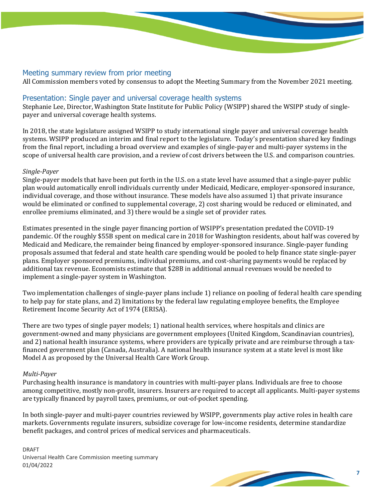#### Meeting summary review from prior meeting

All Commission members voted by consensus to adopt the Meeting Summary from the November 2021 meeting.

#### Presentation: Single payer and universal coverage health systems

Stephanie Lee, Director, Washington State Institute for Public Policy (WSIPP) shared the WSIPP study of singlepayer and universal coverage health systems.

In 2018, the state legislature assigned WSIPP to study international single payer and universal coverage health systems. WSIPP produced an interim and final report to the legislature. Today's presentation shared key findings from the final report, including a broad overview and examples of single-payer and multi-payer systems in the scope of universal health care provision, and a review of cost drivers between the U.S. and comparison countries.

#### *Single-Payer*

Single-payer models that have been put forth in the U.S. on a state level have assumed that a single-payer public plan would automatically enroll individuals currently under Medicaid, Medicare, employer-sponsored insurance, individual coverage, and those without insurance. These models have also assumed 1) that private insurance would be eliminated or confined to supplemental coverage, 2) cost sharing would be reduced or eliminated, and enrollee premiums eliminated, and 3) there would be a single set of provider rates.

Estimates presented in the single payer financing portion of WSIPP's presentation predated the COVID-19 pandemic. Of the roughly \$55B spent on medical care in 2018 for Washington residents, about half was covered by Medicaid and Medicare, the remainder being financed by employer-sponsored insurance. Single-payer funding proposals assumed that federal and state health care spending would be pooled to help finance state single-payer plans. Employer sponsored premiums, individual premiums, and cost-sharing payments would be replaced by additional tax revenue. Economists estimate that \$28B in additional annual revenues would be needed to implement a single-payer system in Washington.

Two implementation challenges of single-payer plans include 1) reliance on pooling of federal health care spending to help pay for state plans, and 2) limitations by the federal law regulating employee benefits, the Employee Retirement Income Security Act of 1974 (ERISA).

There are two types of single payer models; 1) national health services, where hospitals and clinics are government-owned and many physicians are government employees (United Kingdom, Scandinavian countries), and 2) national health insurance systems, where providers are typically private and are reimburse through a taxfinanced government plan (Canada, Australia). A national health insurance system at a state level is most like Model A as proposed by the Universal Health Care Work Group.

#### *Multi-Payer*

Purchasing health insurance is mandatory in countries with multi-payer plans. Individuals are free to choose among competitive, mostly non-profit, insurers. Insurers are required to accept all applicants. Multi-payer systems are typically financed by payroll taxes, premiums, or out-of-pocket spending.

In both single-payer and multi-payer countries reviewed by WSIPP, governments play active roles in health care markets. Governments regulate insurers, subsidize coverage for low-income residents, determine standardize benefit packages, and control prices of medical services and pharmaceuticals.

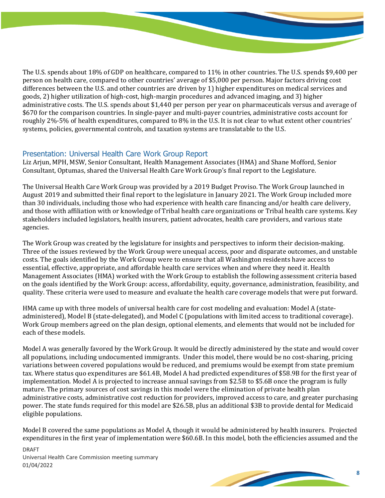The U.S. spends about 18% of GDP on healthcare, compared to 11% in other countries. The U.S. spends \$9,400 per person on health care, compared to other countries' average of \$5,000 per person. Major factors driving cost differences between the U.S. and other countries are driven by 1) higher expenditures on medical services and goods, 2) higher utilization of high-cost, high-margin procedures and advanced imaging, and 3) higher administrative costs. The U.S. spends about \$1,440 per person per year on pharmaceuticals versus and average of \$670 for the comparison countries. In single-payer and multi-payer countries, administrative costs account for roughly 2%-5% of health expenditures, compared to 8% in the U.S. It is not clear to what extent other countries' systems, policies, governmental controls, and taxation systems are translatable to the U.S.

#### Presentation: Universal Health Care Work Group Report

Liz Arjun, MPH, MSW, Senior Consultant, Health Management Associates (HMA) and Shane Mofford, Senior Consultant, Optumas, shared the Universal Health Care Work Group's final report to the Legislature.

The Universal Health Care Work Group was provided by a 2019 Budget Proviso. The Work Group launched in August 2019 and submitted their final report to the legislature in January 2021. The Work Group included more than 30 individuals, including those who had experience with health care financing and/or health care delivery, and those with affiliation with or knowledge of Tribal health care organizations or Tribal health care systems. Key stakeholders included legislators, health insurers, patient advocates, health care providers, and various state agencies.

The Work Group was created by the legislature for insights and perspectives to inform their decision-making. Three of the issues reviewed by the Work Group were unequal access, poor and disparate outcomes, and unstable costs. The goals identified by the Work Group were to ensure that all Washington residents have access to essential, effective, appropriate, and affordable health care services when and where they need it. Health Management Associates (HMA) worked with the Work Group to establish the following assessment criteria based on the goals identified by the Work Group: access, affordability, equity, governance, administration, feasibility, and quality. These criteria were used to measure and evaluate the health care coverage models that were put forward.

HMA came up with three models of universal health care for cost modeling and evaluation: Model A (stateadministered), Model B (state-delegated), and Model C (populations with limited access to traditional coverage). Work Group members agreed on the plan design, optional elements, and elements that would not be included for each of these models.

Model A was generally favored by the Work Group. It would be directly administered by the state and would cover all populations, including undocumented immigrants. Under this model, there would be no cost-sharing, pricing variations between covered populations would be reduced, and premiums would be exempt from state premium tax. Where status quo expenditures are \$61.4B, Model A had predicted expenditures of \$58.9B for the first year of implementation. Model A is projected to increase annual savings from \$2.5B to \$5.6B once the program is fully mature. The primary sources of cost savings in this model were the elimination of private health plan administrative costs, administrative cost reduction for providers, improved access to care, and greater purchasing power. The state funds required for this model are \$26.5B, plus an additional \$3B to provide dental for Medicaid eligible populations.

Model B covered the same populations as Model A, though it would be administered by health insurers. Projected expenditures in the first year of implementation were \$60.6B. In this model, both the efficiencies assumed and the